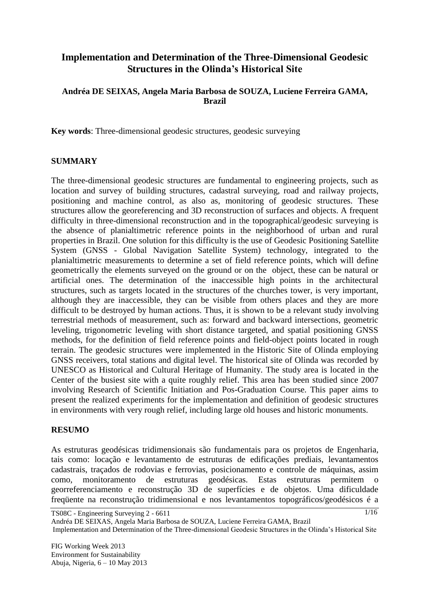# **Implementation and Determination of the Three-Dimensional Geodesic Structures in the Olinda's Historical Site**

#### **Andréa DE SEIXAS, Angela Maria Barbosa de SOUZA, Luciene Ferreira GAMA, Brazil**

**Key words**: Three-dimensional geodesic structures, geodesic surveying

#### **SUMMARY**

The three-dimensional geodesic structures are fundamental to engineering projects, such as location and survey of building structures, cadastral surveying, road and railway projects, positioning and machine control, as also as, monitoring of geodesic structures. These structures allow the georeferencing and 3D reconstruction of surfaces and objects. A frequent difficulty in three-dimensional reconstruction and in the topographical/geodesic surveying is the absence of planialtimetric reference points in the neighborhood of urban and rural properties in Brazil. One solution for this difficulty is the use of Geodesic Positioning Satellite System (GNSS - Global Navigation Satellite System) technology, integrated to the planialtimetric measurements to determine a set of field reference points, which will define geometrically the elements surveyed on the ground or on the object, these can be natural or artificial ones. The determination of the inaccessible high points in the architectural structures, such as targets located in the structures of the churches tower, is very important, although they are inaccessible, they can be visible from others places and they are more difficult to be destroyed by human actions. Thus, it is shown to be a relevant study involving terrestrial methods of measurement, such as: forward and backward intersections, geometric leveling, trigonometric leveling with short distance targeted, and spatial positioning GNSS methods, for the definition of field reference points and field-object points located in rough terrain. The geodesic structures were implemented in the Historic Site of Olinda employing GNSS receivers, total stations and digital level. The historical site of Olinda was recorded by UNESCO as Historical and Cultural Heritage of Humanity. The study area is located in the Center of the busiest site with a quite roughly relief. This area has been studied since 2007 involving Research of Scientific Initiation and Pos-Graduation Course. This paper aims to present the realized experiments for the implementation and definition of geodesic structures in environments with very rough relief, including large old houses and historic monuments.

#### **RESUMO**

As estruturas geodésicas tridimensionais são fundamentais para os projetos de Engenharia, tais como: locação e levantamento de estruturas de edificações prediais, levantamentos cadastrais, traçados de rodovias e ferrovias, posicionamento e controle de máquinas, assim como, monitoramento de estruturas geodésicas. Estas estruturas permitem o georreferenciamento e reconstrução 3D de superfícies e de objetos. Uma dificuldade freqüente na reconstrução tridimensional e nos levantamentos topográficos/geodésicos é a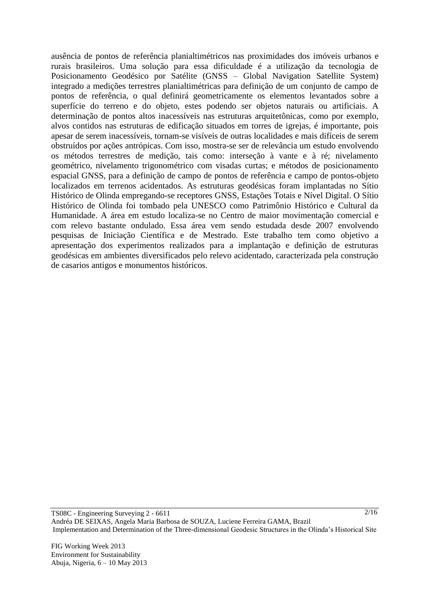ausência de pontos de referência planialtimétricos nas proximidades dos imóveis urbanos e rurais brasileiros. Uma solução para essa dificuldade é a utilização da tecnologia de Posicionamento Geodésico por Satélite (GNSS – Global Navigation Satellite System) integrado a medições terrestres planialtimétricas para definição de um conjunto de campo de pontos de referência, o qual definirá geometricamente os elementos levantados sobre a superfície do terreno e do objeto, estes podendo ser objetos naturais ou artificiais. A determinação de pontos altos inacessíveis nas estruturas arquitetônicas, como por exemplo, alvos contidos nas estruturas de edificação situados em torres de igrejas, é importante, pois apesar de serem inacessíveis, tornam-se visíveis de outras localidades e mais difíceis de serem obstruídos por ações antrópicas. Com isso, mostra-se ser de relevância um estudo envolvendo os métodos terrestres de medição, tais como: interseção à vante e à ré; nivelamento geométrico, nivelamento trigonométrico com visadas curtas; e métodos de posicionamento espacial GNSS, para a definição de campo de pontos de referência e campo de pontos-objeto localizados em terrenos acidentados. As estruturas geodésicas foram implantadas no Sítio Histórico de Olinda empregando-se receptores GNSS, Estações Totais e Nível Digital. O Sítio Histórico de Olinda foi tombado pela UNESCO como Patrimônio Histórico e Cultural da Humanidade. A área em estudo localiza-se no Centro de maior movimentação comercial e com relevo bastante ondulado. Essa área vem sendo estudada desde 2007 envolvendo pesquisas de Iniciação Científica e de Mestrado. Este trabalho tem como objetivo a apresentação dos experimentos realizados para a implantação e definição de estruturas geodésicas em ambientes diversificados pelo relevo acidentado, caracterizada pela construção de casarios antigos e monumentos históricos.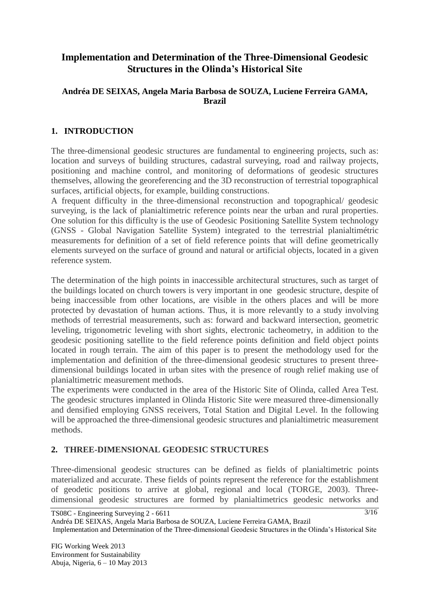# **Implementation and Determination of the Three-Dimensional Geodesic Structures in the Olinda's Historical Site**

### **Andréa DE SEIXAS, Angela Maria Barbosa de SOUZA, Luciene Ferreira GAMA, Brazil**

# **1. INTRODUCTION**

The three-dimensional geodesic structures are fundamental to engineering projects, such as: location and surveys of building structures, cadastral surveying, road and railway projects, positioning and machine control, and monitoring of deformations of geodesic structures themselves, allowing the georeferencing and the 3D reconstruction of terrestrial topographical surfaces, artificial objects, for example, building constructions.

A frequent difficulty in the three-dimensional reconstruction and topographical/ geodesic surveying, is the lack of planialtimetric reference points near the urban and rural properties. One solution for this difficulty is the use of Geodesic Positioning Satellite System technology (GNSS - Global Navigation Satellite System) integrated to the terrestrial planialtimétric measurements for definition of a set of field reference points that will define geometrically elements surveyed on the surface of ground and natural or artificial objects, located in a given reference system.

The determination of the high points in inaccessible architectural structures, such as target of the buildings located on church towers is very important in one geodesic structure, despite of being inaccessible from other locations, are visible in the others places and will be more protected by devastation of human actions. Thus, it is more relevantly to a study involving methods of terrestrial measurements, such as: forward and backward intersection, geometric leveling, trigonometric leveling with short sights, electronic tacheometry, in addition to the geodesic positioning satellite to the field reference points definition and field object points located in rough terrain. The aim of this paper is to present the methodology used for the implementation and definition of the three-dimensional geodesic structures to present threedimensional buildings located in urban sites with the presence of rough relief making use of planialtimetric measurement methods.

The experiments were conducted in the area of the Historic Site of Olinda, called Area Test. The geodesic structures implanted in Olinda Historic Site were measured three-dimensionally and densified employing GNSS receivers, Total Station and Digital Level. In the following will be approached the three-dimensional geodesic structures and planialtimetric measurement methods.

## **2. THREE-DIMENSIONAL GEODESIC STRUCTURES**

Three-dimensional geodesic structures can be defined as fields of planialtimetric points materialized and accurate. These fields of points represent the reference for the establishment of geodetic positions to arrive at global, regional and local (TORGE, 2003). Threedimensional geodesic structures are formed by planialtimetrics geodesic networks and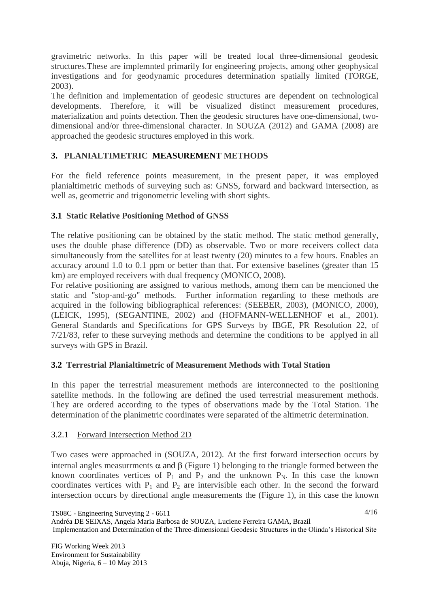gravimetric networks. In this paper will be treated local three-dimensional geodesic structures.These are implemnted primarily for engineering projects, among other geophysical investigations and for geodynamic procedures determination spatially limited (TORGE, 2003).

The definition and implementation of geodesic structures are dependent on technological developments. Therefore, it will be visualized distinct measurement procedures, materialization and points detection. Then the geodesic structures have one-dimensional, twodimensional and/or three-dimensional character. In SOUZA (2012) and GAMA (2008) are approached the geodesic structures employed in this work.

## **3. PLANIALTIMETRIC MEASUREMENT METHODS**

For the field reference points measurement, in the present paper, it was employed planialtimetric methods of surveying such as: GNSS, forward and backward intersection, as well as, geometric and trigonometric leveling with short sights.

### **3.1 Static Relative Positioning Method of GNSS**

The relative positioning can be obtained by the static method. The static method generally, uses the double phase difference (DD) as observable. Two or more receivers collect data simultaneously from the satellites for at least twenty (20) minutes to a few hours. Enables an accuracy around 1.0 to 0.1 ppm or better than that. For extensive baselines (greater than 15 km) are employed receivers with dual frequency (MONICO, 2008).

For relative positioning are assigned to various methods, among them can be mencioned the static and "stop-and-go" methods. Further information regarding to these methods are acquired in the following bibliographical references: (SEEBER, 2003), (MONICO, 2000), (LEICK, 1995), (SEGANTINE, 2002) and (HOFMANN-WELLENHOF et al., 2001). General Standards and Specifications for GPS Surveys by IBGE, PR Resolution 22, of 7/21/83, refer to these surveying methods and determine the conditions to be applyed in all surveys with GPS in Brazil.

## **3.2 Terrestrial Planialtimetric of Measurement Methods with Total Station**

In this paper the terrestrial measurement methods are interconnected to the positioning satellite methods. In the following are defined the used terrestrial measurement methods. They are ordered according to the types of observations made by the Total Station. The determination of the planimetric coordinates were separated of the altimetric determination.

#### 3.2.1 Forward Intersection Method 2D

Two cases were approached in (SOUZA, 2012). At the first forward intersection occurs by internal angles measurments  $\alpha$  and  $\beta$  (Figure 1) belonging to the triangle formed between the known coordinates vertices of  $P_1$  and  $P_2$  and the unknown  $P_N$ . In this case the known coordinates vertices with  $P_1$  and  $P_2$  are intervisible each other. In the second the forward intersection occurs by directional angle measurements the (Figure 1), in this case the known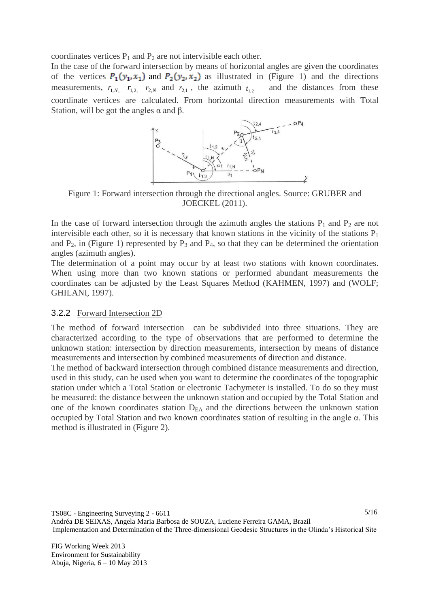coordinates vertices  $P_1$  and  $P_2$  are not intervisible each other.

In the case of the forward intersection by means of horizontal angles are given the coordinates of the vertices  $P_1(y_1, x_1)$  and  $P_2(y_2, x_2)$  as illustrated in (Figure 1) and the directions measurements,  $r_{1,N}$ ,  $r_{1,2}$ ,  $r_{2,N}$  and  $r_{2,1}$ , the azimuth  $t_{1,2}$ and the distances from these coordinate vertices are calculated. From horizontal direction measurements with Total Station, will be got the angles  $α$  and  $β$ .



Figure 1: Forward intersection through the directional angles. Source: GRUBER and JOECKEL (2011).

In the case of forward intersection through the azimuth angles the stations  $P_1$  and  $P_2$  are not intervisible each other, so it is necessary that known stations in the vicinity of the stations  $P_1$ and  $P_2$ , in (Figure 1) represented by  $P_3$  and  $P_4$ , so that they can be determined the orientation angles (azimuth angles).

The determination of a point may occur by at least two stations with known coordinates. When using more than two known stations or performed abundant measurements the coordinates can be adjusted by the Least Squares Method (KAHMEN, 1997) and (WOLF; GHILANI, 1997).

#### 3.2.2 Forward Intersection 2D

The method of forward intersection can be subdivided into three situations. They are characterized according to the type of observations that are performed to determine the unknown station: intersection by direction measurements, intersection by means of distance measurements and intersection by combined measurements of direction and distance.

The method of backward intersection through combined distance measurements and direction, used in this study, can be used when you want to determine the coordinates of the topographic station under which a Total Station or electronic Tachymeter is installed. To do so they must be measured: the distance between the unknown station and occupied by the Total Station and one of the known coordinates station  $D_{EA}$  and the directions between the unknown station occupied by Total Station and two known coordinates station of resulting in the angle α. This method is illustrated in (Figure 2).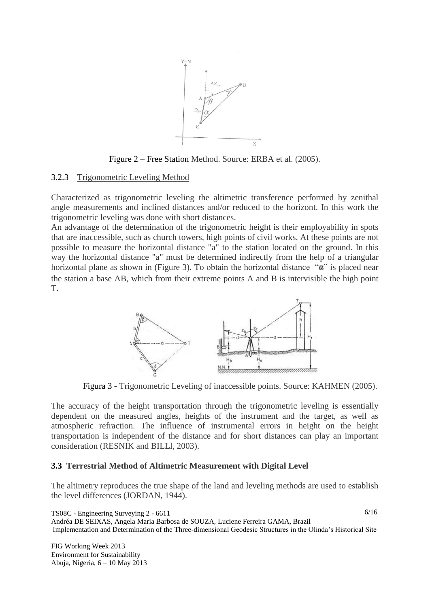

Figure 2 – Free Station Method. Source: ERBA et al. (2005).

#### 3.2.3 Trigonometric Leveling Method

Characterized as trigonometric leveling the altimetric transference performed by zenithal angle measurements and inclined distances and/or reduced to the horizont. In this work the trigonometric leveling was done with short distances.

An advantage of the determination of the trigonometric height is their employability in spots that are inaccessible, such as church towers, high points of civil works. At these points are not possible to measure the horizontal distance "a" to the station located on the ground. In this way the horizontal distance "a" must be determined indirectly from the help of a triangular horizontal plane as shown in (Figure 3). To obtain the horizontal distance " $a$ " is placed near the station a base AB, which from their extreme points A and B is intervisible the high point T.



Figura 3 - Trigonometric Leveling of inaccessible points. Source: KAHMEN (2005).

The accuracy of the height transportation through the trigonometric leveling is essentially dependent on the measured angles, heights of the instrument and the target, as well as atmospheric refraction. The influence of instrumental errors in height on the height transportation is independent of the distance and for short distances can play an important consideration (RESNIK and BILLl, 2003).

#### **3.3 Terrestrial Method of Altimetric Measurement with Digital Level**

The altimetry reproduces the true shape of the land and leveling methods are used to establish the level differences (JORDAN, 1944).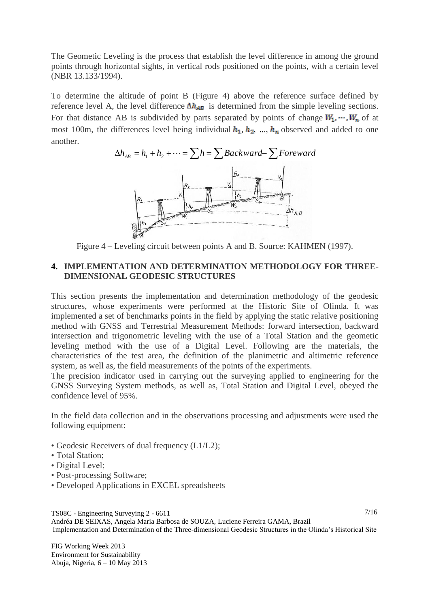The Geometic Leveling is the process that establish the level difference in among the ground points through horizontal sights, in vertical rods positioned on the points, with a certain level (NBR 13.133/1994).

To determine the altitude of point B (Figure 4) above the reference surface defined by reference level A, the level difference  $\Delta h_{AB}$  is determined from the simple leveling sections. For that distance AB is subdivided by parts separated by points of change  $W_1, \dots, W_n$  of at most 100m, the differences level being individual  $h_1, h_2, ..., h_n$  observed and added to one another.



Figure 4 – Leveling circuit between points A and B. Source: KAHMEN (1997).

#### **4. IMPLEMENTATION AND DETERMINATION METHODOLOGY FOR THREE-DIMENSIONAL GEODESIC STRUCTURES**

This section presents the implementation and determination methodology of the geodesic structures, whose experiments were performed at the Historic Site of Olinda. It was implemented a set of benchmarks points in the field by applying the static relative positioning method with GNSS and Terrestrial Measurement Methods: forward intersection, backward intersection and trigonometric leveling with the use of a Total Station and the geometic leveling method with the use of a Digital Level. Following are the materials, the characteristics of the test area, the definition of the planimetric and altimetric reference system, as well as, the field measurements of the points of the experiments.

The precision indicator used in carrying out the surveying applied to engineering for the GNSS Surveying System methods, as well as, Total Station and Digital Level, obeyed the confidence level of 95%.

In the field data collection and in the observations processing and adjustments were used the following equipment:

- Geodesic Receivers of dual frequency (L1/L2);
- Total Station;
- Digital Level;
- Post-processing Software;
- Developed Applications in EXCEL spreadsheets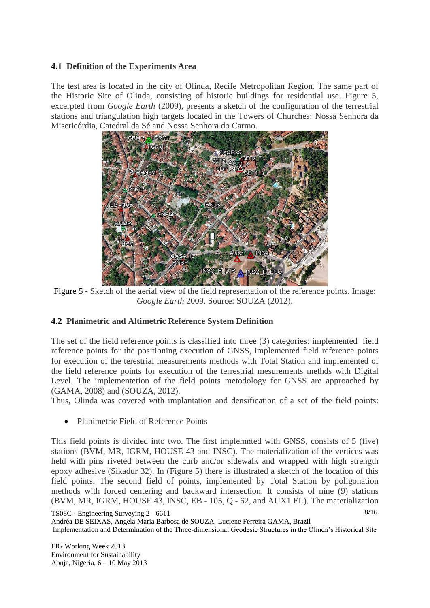### **4.1 Definition of the Experiments Area**

The test area is located in the city of Olinda, Recife Metropolitan Region. The same part of the Historic Site of Olinda, consisting of historic buildings for residential use. Figure 5, excerpted from *Google Earth* (2009), presents a sketch of the configuration of the terrestrial stations and triangulation high targets located in the Towers of Churches: Nossa Senhora da Misericórdia, Catedral da Sé and Nossa Senhora do Carmo.



Figure 5 - Sketch of the aerial view of the field representation of the reference points. Image: *Google Earth* 2009. Source: SOUZA (2012).

## **4.2 Planimetric and Altimetric Reference System Definition**

The set of the field reference points is classified into three (3) categories: implemented field reference points for the positioning execution of GNSS, implemented field reference points for execution of the terestrial measurements methods with Total Station and implemented of the field reference points for execution of the terrestrial mesurements methds with Digital Level. The implementetion of the field points metodology for GNSS are approached by (GAMA, 2008) and (SOUZA, 2012).

Thus, Olinda was covered with implantation and densification of a set of the field points:

Planimetric Field of Reference Points

This field points is divided into two. The first implemnted with GNSS, consists of 5 (five) stations (BVM, MR, IGRM, HOUSE 43 and INSC). The materialization of the vertices was held with pins riveted between the curb and/or sidewalk and wrapped with high strength epoxy adhesive (Sikadur 32). In (Figure 5) there is illustrated a sketch of the location of this field points. The second field of points, implemented by Total Station by poligonation methods with forced centering and backward intersection. It consists of nine (9) stations (BVM, MR, IGRM, HOUSE 43, INSC, EB - 105, Q - 62, and AUX1 EL). The materialization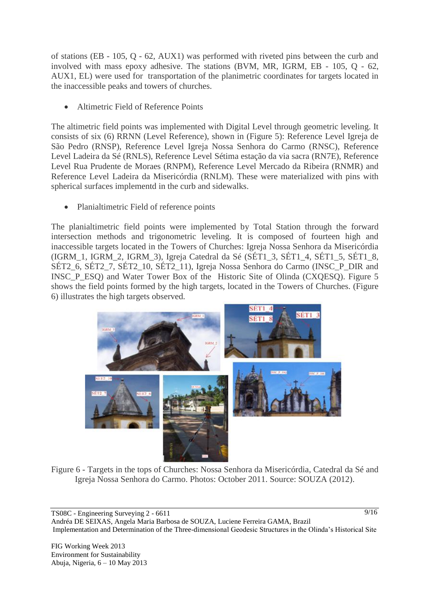of stations (EB - 105, Q - 62, AUX1) was performed with riveted pins between the curb and involved with mass epoxy adhesive. The stations (BVM, MR, IGRM, EB - 105, Q - 62, AUX1, EL) were used for transportation of the planimetric coordinates for targets located in the inaccessible peaks and towers of churches.

Altimetric Field of Reference Points

The altimetric field points was implemented with Digital Level through geometric leveling. It consists of six (6) RRNN (Level Reference), shown in (Figure 5): Reference Level Igreja de São Pedro (RNSP), Reference Level Igreja Nossa Senhora do Carmo (RNSC), Reference Level Ladeira da Sé (RNLS), Reference Level Sétima estação da via sacra (RN7E), Reference Level Rua Prudente de Moraes (RNPM), Reference Level Mercado da Ribeira (RNMR) and Reference Level Ladeira da Misericórdia (RNLM). These were materialized with pins with spherical surfaces implementd in the curb and sidewalks.

Planialtimetric Field of reference points

The planialtimetric field points were implemented by Total Station through the forward intersection methods and trigonometric leveling. It is composed of fourteen high and inaccessible targets located in the Towers of Churches: Igreja Nossa Senhora da Misericórdia (IGRM\_1, IGRM\_2, IGRM\_3), Igreja Catedral da Sé (SÉT1\_3, SÉT1\_4, SÉT1\_5, SÉT1\_8, SÉT2\_6, SÉT2\_7, SÉT2\_10, SÉT2\_11), Igreja Nossa Senhora do Carmo (INSC\_P\_DIR and INSC\_P\_ESQ) and Water Tower Box of the Historic Site of Olinda (CXQESQ). Figure 5 shows the field points formed by the high targets, located in the Towers of Churches. (Figure 6) illustrates the high targets observed.



Figure 6 - Targets in the tops of Churches: Nossa Senhora da Misericórdia, Catedral da Sé and Igreja Nossa Senhora do Carmo. Photos: October 2011. Source: SOUZA (2012).

TS08C - Engineering Surveying 2 - 6611 Andréa DE SEIXAS, Angela Maria Barbosa de SOUZA, Luciene Ferreira GAMA, Brazil Implementation and Determination of the Three-dimensional Geodesic Structures in the Olinda's Historical Site 9/16

FIG Working Week 2013 Environment for Sustainability Abuja, Nigeria, 6 – 10 May 2013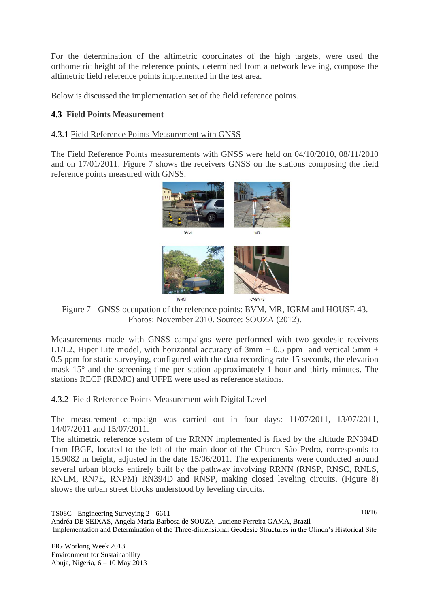For the determination of the altimetric coordinates of the high targets, were used the orthometric height of the reference points, determined from a network leveling, compose the altimetric field reference points implemented in the test area.

Below is discussed the implementation set of the field reference points.

### **4.3 Field Points Measurement**

### 4.3.1 Field Reference Points Measurement with GNSS

The Field Reference Points measurements with GNSS were held on 04/10/2010, 08/11/2010 and on 17/01/2011. Figure 7 shows the receivers GNSS on the stations composing the field reference points measured with GNSS.



Figure 7 - GNSS occupation of the reference points: BVM, MR, IGRM and HOUSE 43. Photos: November 2010. Source: SOUZA (2012).

Measurements made with GNSS campaigns were performed with two geodesic receivers L1/L2, Hiper Lite model, with horizontal accuracy of  $3mm + 0.5$  ppm and vertical  $5mm +$ 0.5 ppm for static surveying, configured with the data recording rate 15 seconds, the elevation mask 15° and the screening time per station approximately 1 hour and thirty minutes. The stations RECF (RBMC) and UFPE were used as reference stations.

#### 4.3.2 Field Reference Points Measurement with Digital Level

The measurement campaign was carried out in four days: 11/07/2011, 13/07/2011, 14/07/2011 and 15/07/2011.

The altimetric reference system of the RRNN implemented is fixed by the altitude RN394D from IBGE, located to the left of the main door of the Church São Pedro, corresponds to 15.9082 m height, adjusted in the date 15/06/2011. The experiments were conducted around several urban blocks entirely built by the pathway involving RRNN (RNSP, RNSC, RNLS, RNLM, RN7E, RNPM) RN394D and RNSP, making closed leveling circuits. (Figure 8) shows the urban street blocks understood by leveling circuits.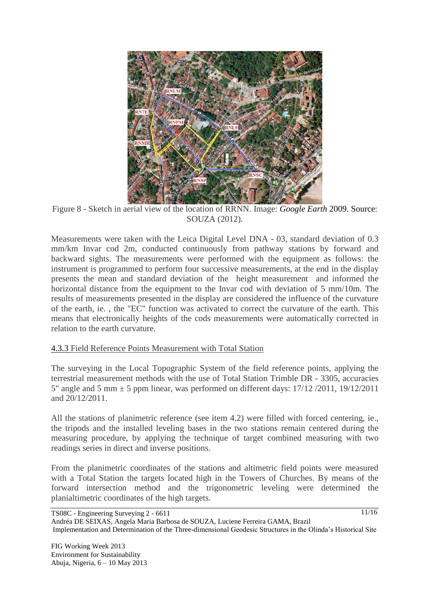

Figure 8 - Sketch in aerial view of the location of RRNN. Image: *Google Earth* 2009. Source: SOUZA (2012).

Measurements were taken with the Leica Digital Level DNA - 03, standard deviation of 0.3 mm/km Invar cod 2m, conducted continuously from pathway stations by forward and backward sights. The measurements were performed with the equipment as follows: the instrument is programmed to perform four successive measurements, at the end in the display presents the mean and standard deviation of the height measurement and informed the horizontal distance from the equipment to the Invar cod with deviation of 5 mm/10m. The results of measurements presented in the display are considered the influence of the curvature of the earth, ie. , the "EC" function was activated to correct the curvature of the earth. This means that electronically heights of the cods measurements were automatically corrected in relation to the earth curvature.

#### 4.3.3 Field Reference Points Measurement with Total Station

The surveying in the Local Topographic System of the field reference points, applying the terrestrial measurement methods with the use of Total Station Trimble DR - 3305, accuracies 5" angle and 5 mm ± 5 ppm linear, was performed on different days: 17/12 /2011, 19/12/2011 and 20/12/2011.

All the stations of planimetric reference (see item 4.2) were filled with forced centering, ie., the tripods and the installed leveling bases in the two stations remain centered during the measuring procedure, by applying the technique of target combined measuring with two readings series in direct and inverse positions.

From the planimetric coordinates of the stations and altimetric field points were measured with a Total Station the targets located high in the Towers of Churches. By means of the forward intersection method and the trigonometric leveling were determined the planialtimetric coordinates of the high targets.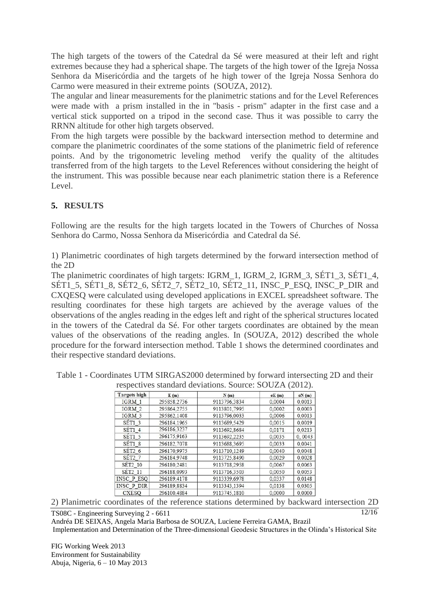The high targets of the towers of the Catedral da Sé were measured at their left and right extremes because they had a spherical shape. The targets of the high tower of the Igreja Nossa Senhora da Misericórdia and the targets of he high tower of the Igreja Nossa Senhora do Carmo were measured in their extreme points (SOUZA, 2012).

The angular and linear measurements for the planimetric stations and for the Level References were made with a prism installed in the in "basis - prism" adapter in the first case and a vertical stick supported on a tripod in the second case. Thus it was possible to carry the RRNN altitude for other high targets observed.

From the high targets were possible by the backward intersection method to determine and compare the planimetric coordinates of the some stations of the planimetric field of reference points. And by the trigonometric leveling method verify the quality of the altitudes transferred from of the high targets to the Level References without considering the height of the instrument. This was possible because near each planimetric station there is a Reference Level.

### **5. RESULTS**

Following are the results for the high targets located in the Towers of Churches of Nossa Senhora do Carmo, Nossa Senhora da Misericórdia and Catedral da Sé.

1) Planimetric coordinates of high targets determined by the forward intersection method of the 2D

The planimetric coordinates of high targets: IGRM\_1, IGRM\_2, IGRM\_3, SÉT1\_3, SÉT1\_4, SÉT1\_5, SÉT1\_8, SÉT2\_6, SÉT2\_7, SÉT2\_10, SÉT2\_11, INSC\_P\_ESQ, INSC\_P\_DIR and CXQESQ were calculated using developed applications in EXCEL spreadsheet software. The resulting coordinates for these high targets are achieved by the average values of the observations of the angles reading in the edges left and right of the spherical structures located in the towers of the Catedral da Sé. For other targets coordinates are obtained by the mean values of the observations of the reading angles. In (SOUZA, 2012) described the whole procedure for the forward intersection method. Table 1 shows the determined coordinates and their respective standard deviations.

| <b>Targets</b> high | E(m)        | N(m)         | $\sigma E(m)$ | $\sigma N(m)$ |
|---------------------|-------------|--------------|---------------|---------------|
| IGRM 1              | 295858,2736 | 9113796.3834 | 0.0004        | 0.0013        |
| IGRM 2              | 295864.2755 | 9113801.7995 | 0.0002        | 0.0003        |
| IGRM 3              | 295862.1408 | 9113796,0033 | 0.0006        | 0.0013        |
| SET1 3              | 296184.1965 | 9113689,5429 | 0.0015        | 0.0019        |
| <b>SET1 4</b>       | 296186,3237 | 9113692.8684 | 0.0171        | 0.0213        |
| SET1 <sub>5</sub>   | 296175,9163 | 9113692.2235 | 0.0035        | 0.0043        |
| SET1 8              | 296182.7078 | 9113688.3695 | 0.0033        | 0.0041        |
| SET2 6              | 296170.9975 | 9113710.1249 | 0.0040        | 0.0048        |
| <b>SET2 7</b>       | 296184,9748 | 9113725.8490 | 0.0029        | 0.0028        |
| SET2 10             | 296180.2481 | 9113718.2958 | 0.0067        | 0.0063        |
| SET2 11             | 296188.0993 | 9113716.3503 | 0.0050        | 0.0053        |
| <b>INSC P ESQ</b>   | 296189,4178 | 9113339,6978 | 0.0337        | 0.0148        |
| <b>INSC P DIR</b>   | 296189,8834 | 9113343.1394 | 0.0138        | 0.0305        |
| <b>CXESO</b>        | 296100.4884 | 9113745.1810 | 0.0000        | 0.0000        |

Table 1 - Coordinates UTM SIRGAS2000 determined by forward intersecting 2D and their respectives standard deviations. Source: SOUZA (2012).

TS08C - Engineering Surveying 2 - 6611  $12/16$ 2) Planimetric coordinates of the reference stations determined by backward intersection 2D

Andréa DE SEIXAS, Angela Maria Barbosa de SOUZA, Luciene Ferreira GAMA, Brazil Implementation and Determination of the Three-dimensional Geodesic Structures in the Olinda's Historical Site

FIG Working Week 2013 Environment for Sustainability Abuja, Nigeria, 6 – 10 May 2013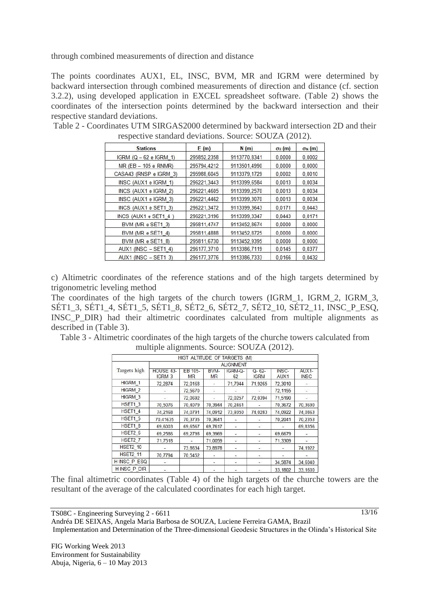through combined measurements of direction and distance

The points coordinates AUX1, EL, INSC, BVM, MR and IGRM were determined by backward intersection through combined measurements of direction and distance (cf. section 3.2.2), using developed application in EXCEL spreadsheet software. (Table 2) shows the coordinates of the intersection points determined by the backward intersection and their respective standard deviations.

| <b>Stations</b>          | E(m)        | N(m)          | $\sigma_E(m)$ | $\sigma_N(m)$ |
|--------------------------|-------------|---------------|---------------|---------------|
| IGRM $(Q - 62 e$ IGRM 1) | 295852.2358 | 9113770.8341  | 0.0000        | 0.0002        |
| MR (EB - 105 e RNMR)     | 295794.4212 | 9113501.4990  | 0.0000        | 0.0000        |
| CASA43 (RNSP e IGRM 3)   | 295988,6045 | 9113379, 1729 | 0.0002        | 0.0010        |
| INSC (AUX1 e IGRM 1)     | 296221.3443 | 9113399.6584  | 0.0013        | 0.0034        |
| INCS (AUX1 e IGRM 2)     | 296221,4605 | 9113399,2570  | 0.0013        | 0.0034        |
| INSC (AUX1 e IGRM 3)     | 296221.4462 | 9113399,3070  | 0.0013        | 0.0034        |
| INCS (AUX1 e SET1 3)     | 296221.3472 | 9113399.3643  | 0.0171        | 0.0443        |
| INCS (AUX1 e SET1 4)     | 296221,3196 | 9113399.3347  | 0.0443        | 0.0171        |
| BVM (MR e SET1 3)        | 295811.4747 | 9113452.8674  | 0.0000        | 0.0000        |
| BVM (MR e SET1 4)        | 295811.4888 | 9113452.8725  | 0.0000        | 0.0000        |
| BVM (MR e SET1 8)        | 295811,6730 | 9113452.9395  | 0.0000        | 0.0000        |
| $AUX1$ (INSC $-$ SET1 4) | 296177,3710 | 9113386.7119  | 0.0145        | 0.0377        |
| AUX1 (INSC - SET1 3)     | 296177.3776 | 9113386.7333  | 0.0166        | 0.0432        |

Table 2 - Coordinates UTM SIRGAS2000 determined by backward intersection 2D and their respective standard deviations. Source: SOUZA (2012).

c) Altimetric coordinates of the reference stations and of the high targets determined by trigonometric leveling method

The coordinates of the high targets of the church towers (IGRM\_1, IGRM\_2, IGRM\_3, SÉT1\_3, SÉT1\_4, SÉT1\_5, SÉT1\_8, SÉT2\_6, SÉT2\_7, SÉT2\_10, SÉT2\_11, INSC\_P\_ESQ, INSC\_P\_DIR) had their altimetric coordinates calculated from multiple alignments as described in (Table 3).

Table 3 - Altimetric coordinates of the high targets of the churche towers calculated from

|                     |                     |                      |                   | HIGT ALTITUDE OF TARGETS (M) |                           |               |                      |
|---------------------|---------------------|----------------------|-------------------|------------------------------|---------------------------|---------------|----------------------|
|                     | <b>ALIGNMENT</b>    |                      |                   |                              |                           |               |                      |
| Targets high        | HOUSE 43-<br>IGRM 3 | EB 105-<br><b>MR</b> | BVM-<br><b>MR</b> | IGRM-Q-<br>62                | $Q - 62 -$<br><b>IGRM</b> | INSC-<br>AUX1 | AUX1-<br><b>INSC</b> |
| HIGRM 1             | 72.2874             | 72,0168              |                   | 71.7944                      | 71.9265                   | 72,3010       |                      |
| HIGRM 2             |                     | 72,5670              |                   |                              |                           | 72,1155       |                      |
| HIGRM 3             |                     | 72,0692              |                   | 72,0257                      | 72,0394                   | 71,5190       |                      |
| HSET <sub>1</sub> 3 | 70.5076             | 70.4079              | 70.3944           | 70,2461                      |                           | 70.3672       | 70,3690              |
| HSET1 4             | 74.2168             | 74.0791              | 74.0912           | 73.9350                      | 74.0283                   | 74.0922       | 74.0863              |
| HSET <sub>1</sub> 5 | 70,41635            | 70,3735              | 70.3641           |                              |                           | 70.2041       | 70,2353              |
| HSET1 8             | 69,6003             | 69.6567              | 69,7617           |                              |                           |               | 69,8356              |
| HSET2 6             | 69.2586             | 69.2798              | 69,3969           |                              |                           | 69.6679       |                      |
| HSET2 7             | 71,7518             |                      | 71,0059           |                              |                           | 71.3309       |                      |
| <b>HSET2 10</b>     |                     | 73,8634              | 73.8978           |                              |                           |               | 74,1922              |
| <b>HSET2 11</b>     | 70,7794             | 70,5452              |                   |                              |                           |               |                      |
| HINSC P ESQ         |                     |                      |                   |                              | $\omega_{\rm c}$          | 34.5874       | 34.6040              |
| <b>HINSC P DIR</b>  |                     |                      |                   |                              |                           | 33 1802       | 33, 1600             |

multiple alignments. Source: SOUZA (2012).

The final altimetric coordinates (Table 4) of the high targets of the churche towers are the resultant of the average of the calculated coordinates for each high target.

13/16

Andréa DE SEIXAS, Angela Maria Barbosa de SOUZA, Luciene Ferreira GAMA, Brazil Implementation and Determination of the Three-dimensional Geodesic Structures in the Olinda's Historical Site

FIG Working Week 2013 Environment for Sustainability Abuja, Nigeria, 6 – 10 May 2013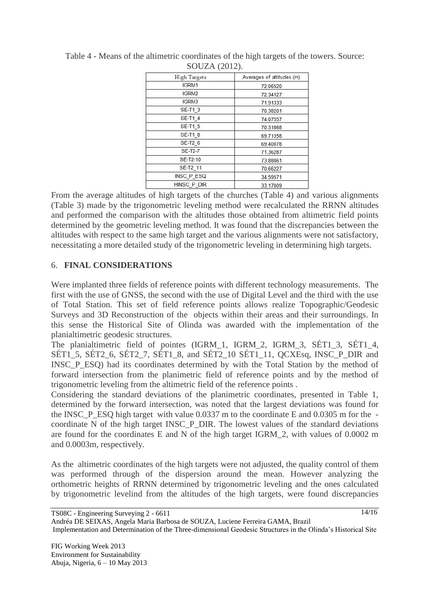| <b>High Targets</b> | Averages of altitudes (m) |  |  |
|---------------------|---------------------------|--|--|
| IGRM1               | 72.06520                  |  |  |
| IGRM2               | 72,34127                  |  |  |
| IGRM3               | 71,91333                  |  |  |
| SE-T1 3             | 70.38201                  |  |  |
| SÉ-T1 4             | 74,07557                  |  |  |
| SE-T1 5             | 70,31868                  |  |  |
| SE-T1 8             | 69.71358                  |  |  |
| SE-T2 6             | 69,40078                  |  |  |
| SE-T2-7             | 71,36287                  |  |  |
| SÉ-T2-10            | 73.88061                  |  |  |
| SE-T2 11            | 70,66227                  |  |  |
| INSC P ESQ          | 34.59571                  |  |  |
| HINSC P DIR         | 33.17009                  |  |  |

Table 4 - Means of the altimetric coordinates of the high targets of the towers. Source: SOUZA (2012).

From the average altitudes of high targets of the churches (Table 4) and various alignments (Table 3) made by the trigonometric leveling method were recalculated the RRNN altitudes and performed the comparison with the altitudes those obtained from altimetric field points determined by the geometric leveling method. It was found that the discrepancies between the altitudes with respect to the same high target and the various alignments were not satisfactory, necessitating a more detailed study of the trigonometric leveling in determining high targets.

#### 6. **FINAL CONSIDERATIONS**

Were implanted three fields of reference points with different technology measurements. The first with the use of GNSS, the second with the use of Digital Level and the third with the use of Total Station. This set of field reference points allows realize Topographic/Geodesic Surveys and 3D Reconstruction of the objects within their areas and their surroundings. In this sense the Historical Site of Olinda was awarded with the implementation of the planialtimetric geodesic structures.

The planialtimetric field of pointes (IGRM\_1, IGRM\_2, IGRM\_3, SÉT1\_3, SÉT1\_4,  $SÉT1$  5,  $SÉT2$  6,  $SÉT2$  7,  $SÉT1$  8, and  $SÉT2$  10  $SÉT1$  11,  $OCKEsq$ , INSC P DIR and INSC\_P\_ESQ) had its coordinates determined by with the Total Station by the method of forward intersection from the planimetric field of reference points and by the method of trigonometric leveling from the altimetric field of the reference points .

Considering the standard deviations of the planimetric coordinates, presented in Table 1, determined by the forward intersection, was noted that the largest deviations was found for the INSC\_P\_ESQ high target with value 0.0337 m to the coordinate E and 0.0305 m for the coordinate N of the high target INSC\_P\_DIR. The lowest values of the standard deviations are found for the coordinates E and N of the high target IGRM\_2, with values of 0.0002 m and 0.0003m, respectively.

As the altimetric coordinates of the high targets were not adjusted, the quality control of them was performed through of the dispersion around the mean. However analyzing the orthometric heights of RRNN determined by trigonometric leveling and the ones calculated by trigonometric levelind from the altitudes of the high targets, were found discrepancies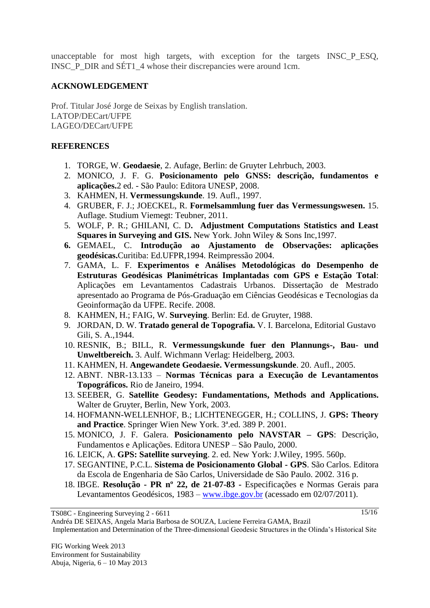unacceptable for most high targets, with exception for the targets INSC\_P\_ESQ, INSC\_P\_DIR and SÉT1\_4 whose their discrepancies were around 1cm.

### **ACKNOWLEDGEMENT**

Prof. Titular José Jorge de Seixas by English translation. LATOP/DECart/UFPE LAGEO/DECart/UFPE

#### **REFERENCES**

- 1. TORGE, W. **Geodaesie**, 2. Aufage, Berlin: de Gruyter Lehrbuch, 2003.
- 2. MONICO, J. F. G. **Posicionamento pelo GNSS: descrição, fundamentos e aplicações.**2 ed. - São Paulo: Editora UNESP, 2008.
- 3. KAHMEN, H. **Vermessungskunde**. 19. Aufl., 1997.
- 4. GRUBER, F. J.; JOECKEL, R. **Formelsammlung fuer das Vermessungswesen.** 15. Auflage. Studium Viemegt: Teubner, 2011.
- 5. WOLF, P. R.; GHILANI, C. D**. Adjustment Computations Statistics and Least Squares in Surveying and GIS.** New York. John Wiley & Sons Inc,1997.
- **6.** GEMAEL, C. **Introdução ao Ajustamento de Observações: aplicações geodésicas.**Curitiba: Ed.UFPR,1994. Reimpressão 2004.
- 7. GAMA, L. F. **Experimentos e Análises Metodológicas do Desempenho de Estruturas Geodésicas Planimétricas Implantadas com GPS e Estação Total**: Aplicações em Levantamentos Cadastrais Urbanos. Dissertação de Mestrado apresentado ao Programa de Pós-Graduação em Ciências Geodésicas e Tecnologias da Geoinformação da UFPE. Recife. 2008.
- 8. KAHMEN, H.; FAIG, W. **Surveying**. Berlin: Ed. de Gruyter, 1988.
- 9. JORDAN, D. W. **Tratado general de Topografia.** V. I. Barcelona, Editorial Gustavo Gili, S. A.,1944.
- 10. RESNIK, B.; BILL, R. **Vermessungskunde fuer den Plannungs-, Bau- und Unweltbereich.** 3. Aulf. Wichmann Verlag: Heidelberg, 2003.
- 11. KAHMEN, H. **Angewandete Geodaesie. Vermessungskunde**. 20. Aufl., 2005.
- 12. ABNT. NBR-13.133 **Normas Técnicas para a Execução de Levantamentos Topográficos.** Rio de Janeiro, 1994.
- 13. SEEBER, G. **Satellite Geodesy: Fundamentations, Methods and Applications.** Walter de Gruyter, Berlin, New York, 2003.
- 14. HOFMANN-WELLENHOF, B.; LICHTENEGGER, H.; COLLINS, J. **GPS: Theory and Practice**. Springer Wien New York. 3ª.ed. 389 P. 2001.
- 15. MONICO, J. F. Galera. **Posicionamento pelo NAVSTAR – GPS**: Descrição, Fundamentos e Aplicações. Editora UNESP – São Paulo, 2000.
- 16. LEICK, A. **GPS: Satellite surveying**. 2. ed. New York: J.Wiley, 1995. 560p.
- 17. SEGANTINE, P.C.L. **Sistema de Posicionamento Global - GPS**. São Carlos. Editora da Escola de Engenharia de São Carlos, Universidade de São Paulo. 2002. 316 p.
- 18. IBGE. **Resolução - PR nº 22, de 21-07-83 -** Especificações e Normas Gerais para Levantamentos Geodésicos, 1983 – [www.ibge.gov.br](http://www.ibge.gov.br/) (acessado em 02/07/2011).

 $15/16$ 

Andréa DE SEIXAS, Angela Maria Barbosa de SOUZA, Luciene Ferreira GAMA, Brazil Implementation and Determination of the Three-dimensional Geodesic Structures in the Olinda's Historical Site